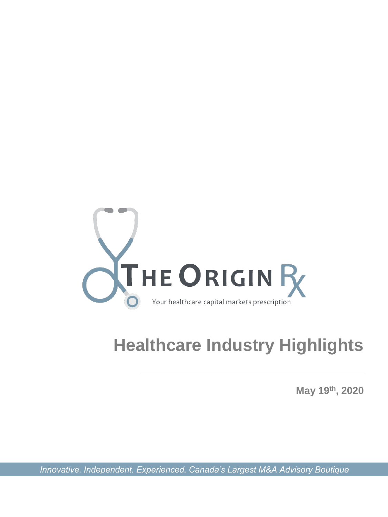

# **Healthcare Industry Highlights**

**May 19th, 2020**

*Innovative. Independent. Experienced. Canada's Largest M&A Advisory Boutique*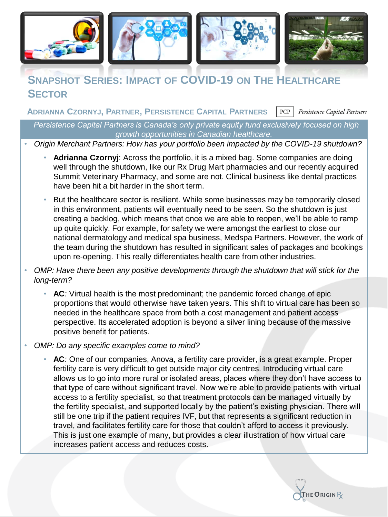

# **SNAPSHOT SERIES: IMPACT OF COVID-19 ON THE HEALTHCARE SECTOR**

**ADRIANNA CZORNYJ, PARTNER, PERSISTENCE CAPITAL PARTNERS** $PCP$ Persistence Capital Partners

*Persistence Capital Partners is Canada's only private equity fund exclusively focused on high growth opportunities in Canadian healthcare.*

• *Origin Merchant Partners: How has your portfolio been impacted by the COVID-19 shutdown?*

- **Adrianna Czornyj**: Across the portfolio, it is a mixed bag. Some companies are doing well through the shutdown, like our Rx Drug Mart pharmacies and our recently acquired Summit Veterinary Pharmacy, and some are not. Clinical business like dental practices have been hit a bit harder in the short term.
- But the healthcare sector is resilient. While some businesses may be temporarily closed in this environment, patients will eventually need to be seen. So the shutdown is just creating a backlog, which means that once we are able to reopen, we'll be able to ramp up quite quickly. For example, for safety we were amongst the earliest to close our national dermatology and medical spa business, Medspa Partners. However, the work of the team during the shutdown has resulted in significant sales of packages and bookings upon re-opening. This really differentiates health care from other industries.
- *OMP: Have there been any positive developments through the shutdown that will stick for the long-term?*
	- **AC***:* Virtual health is the most predominant; the pandemic forced change of epic proportions that would otherwise have taken years. This shift to virtual care has been so needed in the healthcare space from both a cost management and patient access perspective. Its accelerated adoption is beyond a silver lining because of the massive positive benefit for patients.
- *OMP: Do any specific examples come to mind?*
	- **AC***:* One of our companies, Anova, a fertility care provider, is a great example. Proper fertility care is very difficult to get outside major city centres. Introducing virtual care allows us to go into more rural or isolated areas, places where they don't have access to that type of care without significant travel. Now we're able to provide patients with virtual access to a fertility specialist, so that treatment protocols can be managed virtually by the fertility specialist, and supported locally by the patient's existing physician. There will still be one trip if the patient requires IVF, but that represents a significant reduction in travel, and facilitates fertility care for those that couldn't afford to access it previously. This is just one example of many, but provides a clear illustration of how virtual care increases patient access and reduces costs.

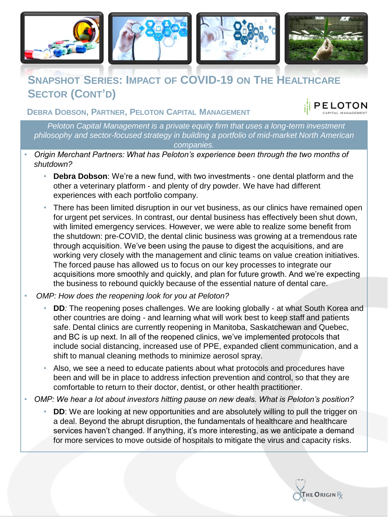

# **SNAPSHOT SERIES: IMPACT OF COVID-19 ON THE HEALTHCARE SECTOR (CONT'D)**

**DEBRA DOBSON, PARTNER, PELOTON CAPITAL MANAGEMENT**

*Peloton Capital Management is a private equity firm that uses a long-term investment philosophy and sector-focused strategy in building a portfolio of mid-market North American companies.*

- *Origin Merchant Partners: What has Peloton's experience been through the two months of shutdown?*
	- **Debra Dobson**: We're a new fund, with two investments one dental platform and the other a veterinary platform - and plenty of dry powder. We have had different experiences with each portfolio company.
	- There has been limited disruption in our vet business, as our clinics have remained open for urgent pet services. In contrast, our dental business has effectively been shut down, with limited emergency services. However, we were able to realize some benefit from the shutdown: pre-COVID, the dental clinic business was growing at a tremendous rate through acquisition. We've been using the pause to digest the acquisitions, and are working very closely with the management and clinic teams on value creation initiatives. The forced pause has allowed us to focus on our key processes to integrate our acquisitions more smoothly and quickly, and plan for future growth. And we're expecting the business to rebound quickly because of the essential nature of dental care.
- *OMP: How does the reopening look for you at Peloton?*
	- **DD***:* The reopening poses challenges. We are looking globally at what South Korea and other countries are doing - and learning what will work best to keep staff and patients safe. Dental clinics are currently reopening in Manitoba, Saskatchewan and Quebec, and BC is up next. In all of the reopened clinics, we've implemented protocols that include social distancing, increased use of PPE, expanded client communication, and a shift to manual cleaning methods to minimize aerosol spray.
	- Also, we see a need to educate patients about what protocols and procedures have been and will be in place to address infection prevention and control, so that they are comfortable to return to their doctor, dentist, or other health practitioner.
- *OMP: We hear a lot about investors hitting pause on new deals. What is Peloton's position?*
	- **DD**: We are looking at new opportunities and are absolutely willing to pull the trigger on a deal. Beyond the abrupt disruption, the fundamentals of healthcare and healthcare services haven't changed. If anything, it's more interesting, as we anticipate a demand for more services to move outside of hospitals to mitigate the virus and capacity risks.



PELOTON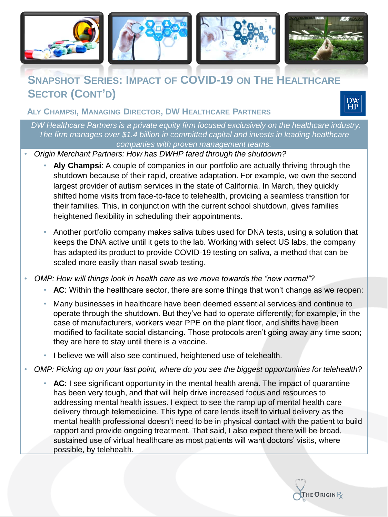

# **SNAPSHOT SERIES: IMPACT OF COVID-19 ON THE HEALTHCARE SECTOR (CONT'D)**

**ALY CHAMPSI, MANAGING DIRECTOR, DW HEALTHCARE PARTNERS**



*DW Healthcare Partners is a private equity firm focused exclusively on the healthcare industry. The firm manages over \$1.4 billion in committed capital and invests in leading healthcare companies with proven management teams.*

• *Origin Merchant Partners: How has DWHP fared through the shutdown?*

- **Aly Champsi**: A couple of companies in our portfolio are actually thriving through the shutdown because of their rapid, creative adaptation. For example, we own the second largest provider of autism services in the state of California. In March, they quickly shifted home visits from face-to-face to telehealth, providing a seamless transition for their families. This, in conjunction with the current school shutdown, gives families heightened flexibility in scheduling their appointments.
- Another portfolio company makes saliva tubes used for DNA tests, using a solution that keeps the DNA active until it gets to the lab. Working with select US labs, the company has adapted its product to provide COVID-19 testing on saliva, a method that can be scaled more easily than nasal swab testing.

• *OMP: How will things look in health care as we move towards the "new normal"?*

- **AC**: Within the healthcare sector, there are some things that won't change as we reopen:
- Many businesses in healthcare have been deemed essential services and continue to operate through the shutdown. But they've had to operate differently; for example, in the case of manufacturers, workers wear PPE on the plant floor, and shifts have been modified to facilitate social distancing. Those protocols aren't going away any time soon; they are here to stay until there is a vaccine.
- I believe we will also see continued, heightened use of telehealth.
- *OMP: Picking up on your last point, where do you see the biggest opportunities for telehealth?*
	- **AC**: I see significant opportunity in the mental health arena. The impact of quarantine has been very tough, and that will help drive increased focus and resources to addressing mental health issues. I expect to see the ramp up of mental health care delivery through telemedicine. This type of care lends itself to virtual delivery as the mental health professional doesn't need to be in physical contact with the patient to build rapport and provide ongoing treatment. That said, I also expect there will be broad, sustained use of virtual healthcare as most patients will want doctors' visits, where possible, by telehealth.

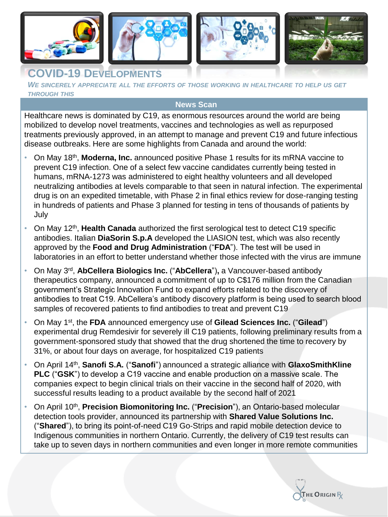

### **COVID-19 DEVELOPMENTS**

*WE SINCERELY APPRECIATE ALL THE EFFORTS OF THOSE WORKING IN HEALTHCARE TO HELP US GET THROUGH THIS*

#### **News Scan**

Healthcare news is dominated by C19, as enormous resources around the world are being mobilized to develop novel treatments, vaccines and technologies as well as repurposed treatments previously approved, in an attempt to manage and prevent C19 and future infectious disease outbreaks. Here are some highlights from Canada and around the world:

- On May 18<sup>th</sup>, Moderna, Inc. announced positive Phase 1 results for its mRNA vaccine to prevent C19 infection. One of a select few vaccine candidates currently being tested in humans, mRNA-1273 was administered to eight healthy volunteers and all developed neutralizing antibodies at levels comparable to that seen in natural infection. The experimental drug is on an expedited timetable, with Phase 2 in final ethics review for dose-ranging testing in hundreds of patients and Phase 3 planned for testing in tens of thousands of patients by July
- On May 12<sup>th</sup>, Health Canada authorized the first serological test to detect C19 specific antibodies. Italian **DiaSorin S.p.A** developed the LIASION test, which was also recently approved by the **Food and Drug Administration** ("**FDA**"). The test will be used in laboratories in an effort to better understand whether those infected with the virus are immune
- On May 3rd , **AbCellera Biologics Inc.** ("**AbCellera**")**,** a Vancouver-based antibody therapeutics company, announced a commitment of up to C\$176 million from the Canadian government's Strategic Innovation Fund to expand efforts related to the discovery of antibodies to treat C19. AbCellera's antibody discovery platform is being used to search blood samples of recovered patients to find antibodies to treat and prevent C19
- On May 1st, the **FDA** announced emergency use of **Gilead Sciences Inc.** ("**Gilead**") experimental drug Remdesivir for severely ill C19 patients, following preliminary results from a government-sponsored study that showed that the drug shortened the time to recovery by 31%, or about four days on average, for hospitalized C19 patients
- On April 14th , **Sanofi S.A.** ("**Sanofi**") announced a strategic alliance with **GlaxoSmithKline PLC** ("**GSK**") to develop a C19 vaccine and enable production on a massive scale. The companies expect to begin clinical trials on their vaccine in the second half of 2020, with successful results leading to a product available by the second half of 2021
- On April 10<sup>th</sup>, **Precision Biomonitoring Inc.** ("**Precision**"), an Ontario-based molecular detection tools provider, announced its partnership with **Shared Value Solutions Inc.**  ("**Shared**"), to bring its point-of-need C19 Go-Strips and rapid mobile detection device to Indigenous communities in northern Ontario. Currently, the delivery of C19 test results can take up to seven days in northern communities and even longer in more remote communities

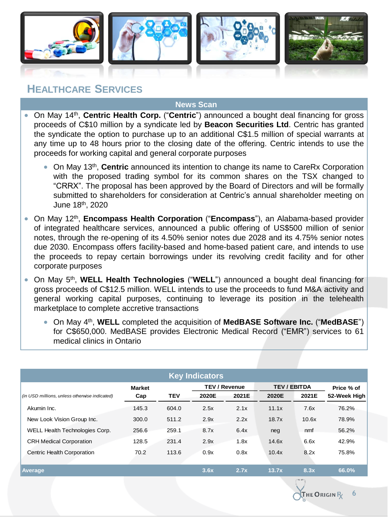

# **HEALTHCARE SERVICES**

#### **News Scan**

- On May 14th , **Centric Health Corp.** ("**Centric**") announced a bought deal financing for gross proceeds of C\$10 million by a syndicate led by **Beacon Securities Ltd**. Centric has granted the syndicate the option to purchase up to an additional C\$1.5 million of special warrants at any time up to 48 hours prior to the closing date of the offering. Centric intends to use the proceeds for working capital and general corporate purposes
	- **On May 13<sup>th</sup>, Centric** announced its intention to change its name to CareRx Corporation with the proposed trading symbol for its common shares on the TSX changed to "CRRX". The proposal has been approved by the Board of Directors and will be formally submitted to shareholders for consideration at Centric's annual shareholder meeting on June 18th , 2020
- On May 12th , **Encompass Health Corporation** ("**Encompass**"), an Alabama-based provider of integrated healthcare services, announced a public offering of US\$500 million of senior notes, through the re-opening of its 4.50% senior notes due 2028 and its 4.75% senior notes due 2030. Encompass offers facility-based and home-based patient care, and intends to use the proceeds to repay certain borrowings under its revolving credit facility and for other corporate purposes
- **•** On May 5<sup>th</sup>, WELL Health Technologies ("WELL") announced a bought deal financing for gross proceeds of C\$12.5 million. WELL intends to use the proceeds to fund M&A activity and general working capital purposes, continuing to leverage its position in the telehealth marketplace to complete accretive transactions
	- On May 4<sup>th</sup>, WELL completed the acquisition of MedBASE Software Inc. ("MedBASE") for C\$650,000. MedBASE provides Electronic Medical Record ("EMR") services to 61 medical clinics in Ontario

|                                               |               |            | <b>Key Indicators</b> |       |                     |       |              |  |
|-----------------------------------------------|---------------|------------|-----------------------|-------|---------------------|-------|--------------|--|
|                                               | <b>Market</b> |            | <b>TEV / Revenue</b>  |       | <b>TEV / EBITDA</b> |       | Price % of   |  |
| (in USD millions, unless otherwise indicated) | Cap           | <b>TEV</b> | 2020E                 | 2021E | 2020E               | 2021E | 52-Week High |  |
| Akumin Inc.                                   | 145.3         | 604.0      | 2.5x                  | 2.1x  | 11.1x               | 7.6x  | 76.2%        |  |
| New Look Vision Group Inc.                    | 300.0         | 511.2      | 2.9x                  | 2.2x  | 18.7x               | 10.6x | 78.9%        |  |
| WELL Health Technologies Corp.                | 256.6         | 259.1      | 8.7x                  | 6.4x  | neg                 | nmf   | 56.2%        |  |
| <b>CRH Medical Corporation</b>                | 128.5         | 231.4      | 2.9x                  | 1.8x  | 14.6x               | 6.6x  | 42.9%        |  |
| Centric Health Corporation                    | 70.2          | 113.6      | 0.9x                  | 0.8x  | 10.4x               | 8.2x  | 75.8%        |  |
| Average                                       |               |            | 3.6x                  | 2.7x  | 13.7x               | 8.3x  | 66.0%        |  |

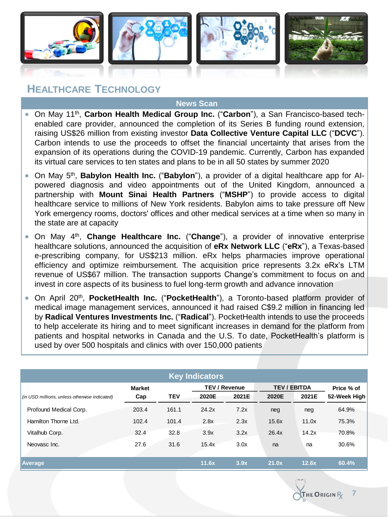

## **HEALTHCARE TECHNOLOGY**

#### **News Scan**

- On May 11th , **Carbon Health Medical Group Inc.** ("**Carbon**"), a San Francisco-based techenabled care provider, announced the completion of its Series B funding round extension, raising US\$26 million from existing investor **Data Collective Venture Capital LLC** ("**DCVC**"). Carbon intends to use the proceeds to offset the financial uncertainty that arises from the expansion of its operations during the COVID-19 pandemic. Currently, Carbon has expanded its virtual care services to ten states and plans to be in all 50 states by summer 2020
- On May 5<sup>th</sup>, **Babylon Health Inc.** ("**Babylon**"), a provider of a digital healthcare app for AIpowered diagnosis and video appointments out of the United Kingdom, announced a partnership with **Mount Sinai Health Partners** ("**MSHP**") to provide access to digital healthcare service to millions of New York residents. Babylon aims to take pressure off New York emergency rooms, doctors' offices and other medical services at a time when so many in the state are at capacity
- **•** On May 4<sup>th</sup>, **Change Healthcare Inc.** ("Change"), a provider of innovative enterprise healthcare solutions, announced the acquisition of **eRx Network LLC** ("**eRx**"), a Texas-based e-prescribing company, for US\$213 million. eRx helps pharmacies improve operational efficiency and optimize reimbursement. The acquisition price represents 3.2x eRx's LTM revenue of US\$67 million. The transaction supports Change's commitment to focus on and invest in core aspects of its business to fuel long-term growth and advance innovation
- **•** On April 20<sup>th</sup>, PocketHealth Inc. ("PocketHealth"), a Toronto-based platform provider of medical image management services, announced it had raised C\$9.2 million in financing led by **Radical Ventures Investments Inc.** ("**Radical**"). PocketHealth intends to use the proceeds to help accelerate its hiring and to meet significant increases in demand for the platform from patients and hospital networks in Canada and the U.S. To date, PocketHealth's platform is used by over 500 hospitals and clinics with over 150,000 patients

| <b>Key Indicators</b>                         |               |            |                      |       |                     |       |              |
|-----------------------------------------------|---------------|------------|----------------------|-------|---------------------|-------|--------------|
|                                               | <b>Market</b> |            | <b>TEV / Revenue</b> |       | <b>TEV / EBITDA</b> |       | Price % of   |
| (in USD millions, unless otherwise indicated) | Cap           | <b>TEV</b> | 2020E                | 2021E | 2020E               | 2021E | 52-Week High |
| Profound Medical Corp.                        | 203.4         | 161.1      | 24.2x                | 7.2x  | neg                 | neg   | 64.9%        |
| Hamilton Thorne Ltd.                          | 102.4         | 101.4      | 2.8x                 | 2.3x  | 15.6x               | 11.0x | 75.3%        |
| Vitalhub Corp.                                | 32.4          | 32.8       | 3.9x                 | 3.2x  | 26.4x               | 14.2x | 70.8%        |
| Neovasc Inc.                                  | 27.6          | 31.6       | 15.4x                | 3.0x  | na                  | na    | 30.6%        |
|                                               |               |            |                      |       |                     |       |              |
| <b>Average</b>                                |               |            | 11.6x                | 3.9x  | 21.0x               | 12.6x | 60.4%        |



**7**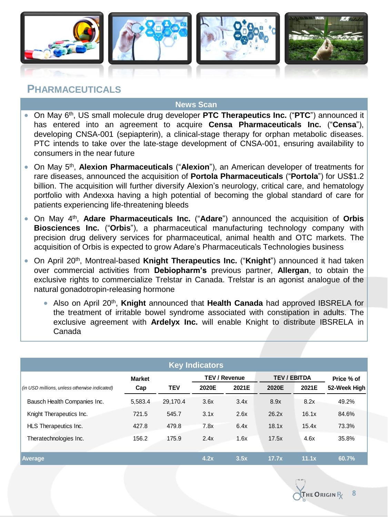

### **PHARMACEUTICALS**

#### **News Scan**

- **•** On May 6<sup>th</sup>, US small molecule drug developer PTC Therapeutics Inc. ("PTC") announced it has entered into an agreement to acquire **Censa Pharmaceuticals Inc.** ("**Censa**"), developing CNSA-001 (sepiapterin), a clinical-stage therapy for orphan metabolic diseases. PTC intends to take over the late-stage development of CNSA-001, ensuring availability to consumers in the near future
- **On May 5<sup>th</sup>, Alexion Pharmaceuticals ("Alexion"), an American developer of treatments for** rare diseases, announced the acquisition of **Portola Pharmaceuticals** ("**Portola**") for US\$1.2 billion. The acquisition will further diversify Alexion's neurology, critical care, and hematology portfolio with Andexxa having a high potential of becoming the global standard of care for patients experiencing life-threatening bleeds
- On May 4 th , **Adare Pharmaceuticals Inc.** ("**Adare**") announced the acquisition of **Orbis Biosciences Inc.** ("**Orbis**"), a pharmaceutical manufacturing technology company with precision drug delivery services for pharmaceutical, animal health and OTC markets. The acquisition of Orbis is expected to grow Adare's Pharmaceuticals Technologies business
- **•** On April 20<sup>th</sup>, Montreal-based Knight Therapeutics Inc. ("Knight") announced it had taken over commercial activities from **Debiopharm's** previous partner, **Allergan**, to obtain the exclusive rights to commercialize Trelstar in Canada. Trelstar is an agonist analogue of the natural gonadotropin-releasing hormone
	- Also on April 20<sup>th</sup>, Knight announced that Health Canada had approved IBSRELA for the treatment of irritable bowel syndrome associated with constipation in adults. The exclusive agreement with **Ardelyx Inc.** will enable Knight to distribute IBSRELA in Canada

| <b>Key Indicators</b>                         |                      |            |       |                               |                              |       |                            |  |  |
|-----------------------------------------------|----------------------|------------|-------|-------------------------------|------------------------------|-------|----------------------------|--|--|
| (in USD millions, unless otherwise indicated) | <b>Market</b><br>Cap | <b>TEV</b> | 2020E | <b>TEV / Revenue</b><br>2021E | <b>TEV / EBITDA</b><br>2020E | 2021E | Price % of<br>52-Week High |  |  |
| Bausch Health Companies Inc.                  | 5.583.4              | 29,170.4   | 3.6x  | 3.4x                          | 8.9x                         | 8.2x  | 49.2%                      |  |  |
| Knight Therapeutics Inc.                      | 721.5                | 545.7      | 3.1x  | 2.6x                          | 26.2x                        | 16.1x | 84.6%                      |  |  |
| HLS Therapeutics Inc.                         | 427.8                | 479.8      | 7.8x  | 6.4x                          | 18.1x                        | 15.4x | 73.3%                      |  |  |
| Theratechnologies Inc.                        | 156.2                | 175.9      | 2.4x  | 1.6x                          | 17.5x                        | 4.6x  | 35.8%                      |  |  |
| Average                                       |                      |            | 4.2x  | 3.5x                          | 17.7x                        | 11.1x | 60.7%                      |  |  |

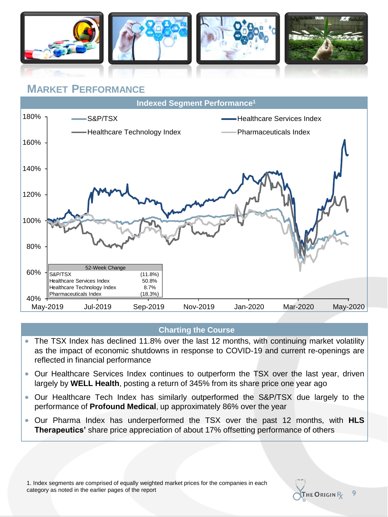

# **MARKET PERFORMANCE**



#### **Charting the Course**

- The TSX Index has declined 11.8% over the last 12 months, with continuing market volatility as the impact of economic shutdowns in response to COVID-19 and current re-openings are reflected in financial performance
- Our Healthcare Services Index continues to outperform the TSX over the last year, driven largely by **WELL Health**, posting a return of 345% from its share price one year ago
- Our Healthcare Tech Index has similarly outperformed the S&P/TSX due largely to the performance of **Profound Medical**, up approximately 86% over the year
- Our Pharma Index has underperformed the TSX over the past 12 months, with **HLS Therapeutics'** share price appreciation of about 17% offsetting performance of others



**9**